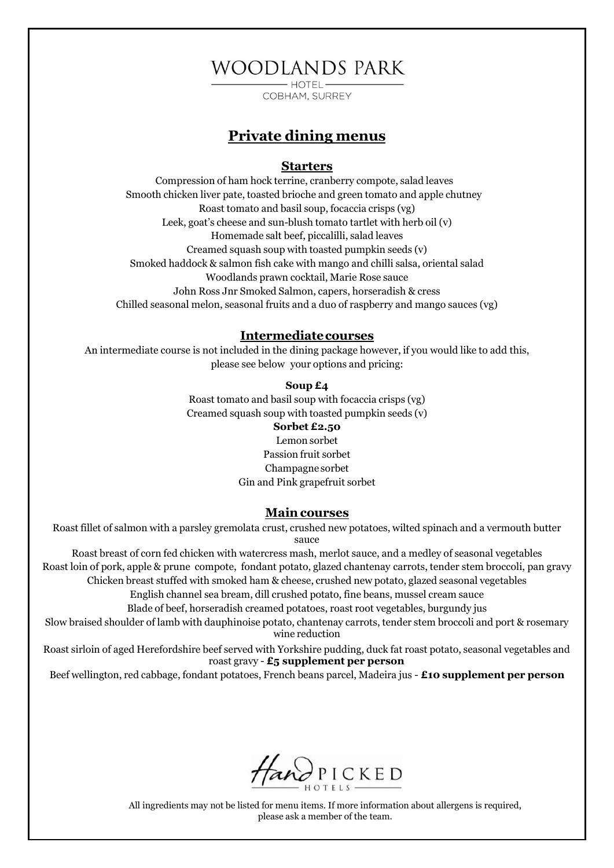# **WOODLANDS PARK**

COBHAM, SURREY

### **Private dining menus**

#### **Starters**

Compression of ham hock terrine, cranberry compote, salad leaves Smooth chicken liver pate, toasted brioche and green tomato and apple chutney Roast tomato and basil soup, focaccia crisps (vg) Leek, goat's cheese and sun-blush tomato tartlet with herb oil (v) Homemade salt beef, piccalilli, salad leaves Creamed squash soup with toasted pumpkin seeds (v) Smoked haddock & salmon fish cake with mango and chilli salsa, oriental salad Woodlands prawn cocktail, Marie Rose sauce John Ross Jnr Smoked Salmon, capers, horseradish & cress Chilled seasonal melon, seasonal fruits and a duo of raspberry and mango sauces (vg)

#### **Intermediatecourses**

An intermediate course is not included in the dining package however, if you would like to add this, please see below your options and pricing:

#### **Soup £4**

Roast tomato and basil soup with focaccia crisps (vg) Creamed squash soup with toasted pumpkin seeds (v)

#### **Sorbet £2.50**

Lemon sorbet Passion fruit sorbet Champagne sorbet Gin and Pink grapefruit sorbet

#### **Maincourses**

Roast fillet of salmon with a parsley gremolata crust, crushed new potatoes, wilted spinach and a vermouth butter sauce

Roast breast of corn fed chicken with watercress mash, merlot sauce, and a medley of seasonal vegetables Roast loin of pork, apple & prune compote, fondant potato, glazed chantenay carrots, tender stem broccoli, pan gravy Chicken breast stuffed with smoked ham & cheese, crushed new potato, glazed seasonal vegetables

English channel sea bream, dill crushed potato, fine beans, mussel cream sauce

Blade of beef, horseradish creamed potatoes, roast root vegetables, burgundy jus

Slow braised shoulder of lamb with dauphinoise potato, chantenay carrots, tender stem broccoli and port & rosemary wine reduction

Roast sirloin of aged Herefordshire beef served with Yorkshire pudding, duck fat roast potato, seasonal vegetables and roast gravy - **£5 supplement per person**

Beef wellington, red cabbage, fondant potatoes, French beans parcel, Madeira jus - **£10 supplement per person**



All ingredients may not be listed for menu items. If more information about allergens is required, please ask a member of the team.